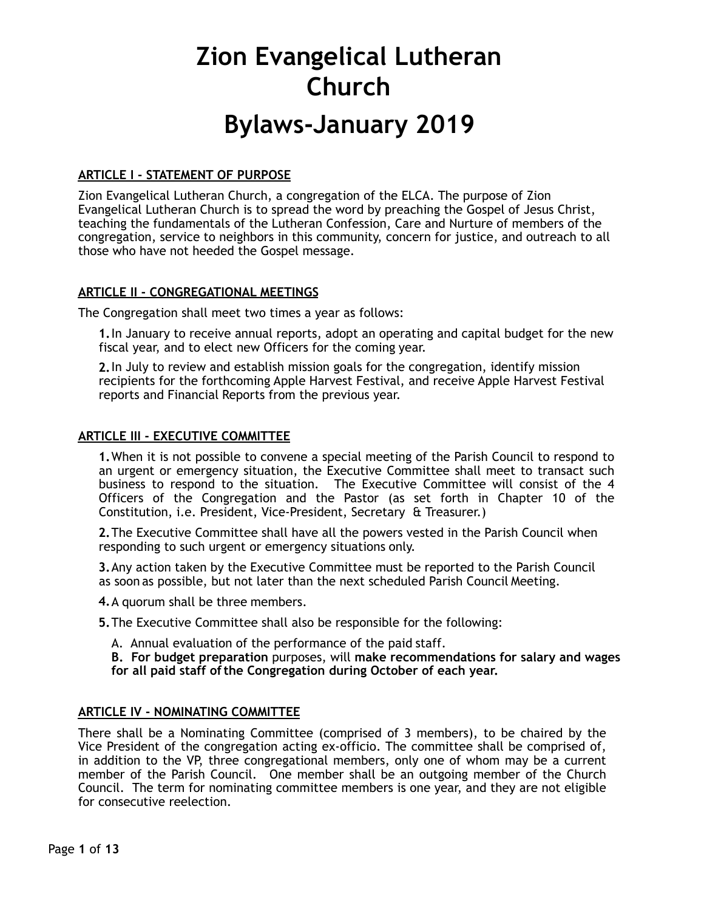# **Bylaws-January 2019**

# **ARTICLE I - STATEMENT OF PURPOSE**

Zion Evangelical Lutheran Church, a congregation of the ELCA. The purpose of Zion Evangelical Lutheran Church is to spread the word by preaching the Gospel of Jesus Christ, teaching the fundamentals of the Lutheran Confession, Care and Nurture of members of the congregation, service to neighbors in this community, concern for justice, and outreach to all those who have not heeded the Gospel message.

# **ARTICLE II - CONGREGATIONAL MEETINGS**

The Congregation shall meet two times a year as follows:

**1.**In January to receive annual reports, adopt an operating and capital budget for the new fiscal year, and to elect new Officers for the coming year.

**2.**In July to review and establish mission goals for the congregation, identify mission recipients for the forthcoming Apple Harvest Festival, and receive Apple Harvest Festival reports and Financial Reports from the previous year.

### **ARTICLE III - EXECUTIVE COMMITTEE**

**1.**When it is not possible to convene a special meeting of the Parish Council to respond to an urgent or emergency situation, the Executive Committee shall meet to transact such business to respond to the situation. The Executive Committee will consist of the 4 Officers of the Congregation and the Pastor (as set forth in Chapter 10 of the Constitution, i.e. President, Vice-President, Secretary & Treasurer.)

**2.**The Executive Committee shall have all the powers vested in the Parish Council when responding to such urgent or emergency situations only.

**3.**Any action taken by the Executive Committee must be reported to the Parish Council as soon as possible, but not later than the next scheduled Parish Council Meeting.

**4.**A quorum shall be three members.

**5.**The Executive Committee shall also be responsible for the following:

A. Annual evaluation of the performance of the paid staff.

**B. For budget preparation** purposes, will **make recommendations for salary and wages for all paid staff ofthe Congregation during October of each year.**

### **ARTICLE IV - NOMINATING COMMITTEE**

There shall be a Nominating Committee (comprised of 3 members), to be chaired by the Vice President of the congregation acting ex-officio. The committee shall be comprised of, in addition to the VP, three congregational members, only one of whom may be a current member of the Parish Council. One member shall be an outgoing member of the Church Council. The term for nominating committee members is one year, and they are not eligible for consecutive reelection.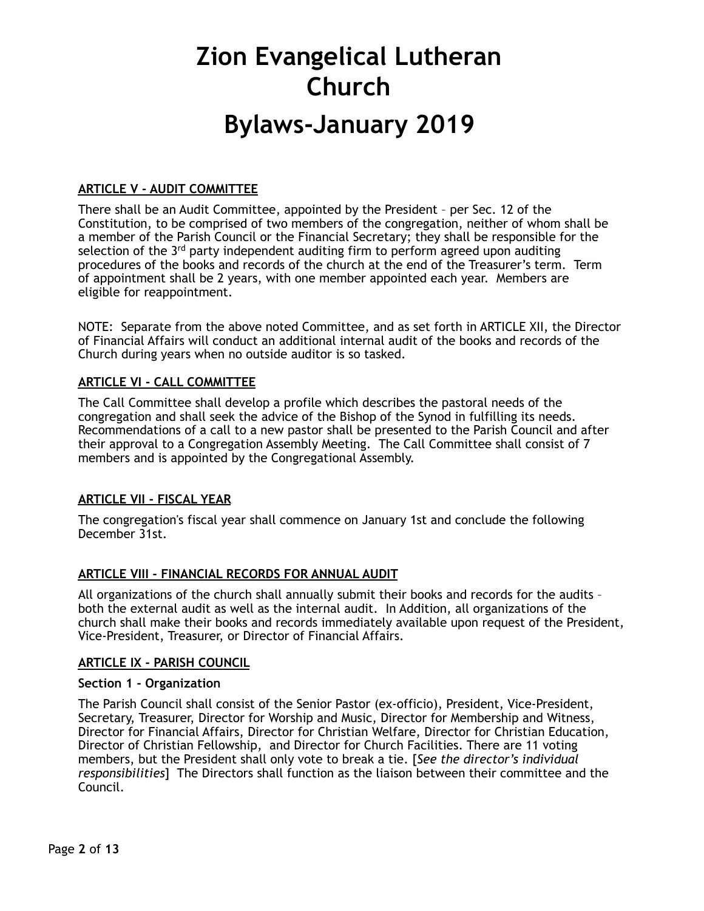# **Bylaws-January 2019**

# **ARTICLE V - AUDIT COMMITTEE**

There shall be an Audit Committee, appointed by the President – per Sec. 12 of the Constitution, to be comprised of two members of the congregation, neither of whom shall be a member of the Parish Council or the Financial Secretary; they shall be responsible for the selection of the  $3<sup>rd</sup>$  party independent auditing firm to perform agreed upon auditing procedures of the books and records of the church at the end of the Treasurer's term. Term of appointment shall be 2 years, with one member appointed each year. Members are eligible for reappointment.

NOTE: Separate from the above noted Committee, and as set forth in ARTICLE XII, the Director of Financial Affairs will conduct an additional internal audit of the books and records of the Church during years when no outside auditor is so tasked.

# **ARTICLE VI - CALL COMMITTEE**

The Call Committee shall develop a profile which describes the pastoral needs of the congregation and shall seek the advice of the Bishop of the Synod in fulfilling its needs. Recommendations of a call to a new pastor shall be presented to the Parish Council and after their approval to a Congregation Assembly Meeting. The Call Committee shall consist of 7 members and is appointed by the Congregational Assembly.

# **ARTICLE VII - FISCAL YEAR**

The congregation's fiscal year shall commence on January 1st and conclude the following December 31st.

# **ARTICLE VIII - FINANCIAL RECORDS FOR ANNUAL AUDIT**

All organizations of the church shall annually submit their books and records for the audits – both the external audit as well as the internal audit. In Addition, all organizations of the church shall make their books and records immediately available upon request of the President, Vice-President, Treasurer, or Director of Financial Affairs.

# **ARTICLE IX - PARISH COUNCIL**

### **Section 1 - Organization**

The Parish Council shall consist of the Senior Pastor (ex-officio), President, Vice-President, Secretary, Treasurer, Director for Worship and Music, Director for Membership and Witness, Director for Financial Affairs, Director for Christian Welfare, Director for Christian Education, Director of Christian Fellowship, and Director for Church Facilities. There are 11 voting members, but the President shall only vote to break a tie. [*See the director's individual responsibilities*] The Directors shall function as the liaison between their committee and the Council.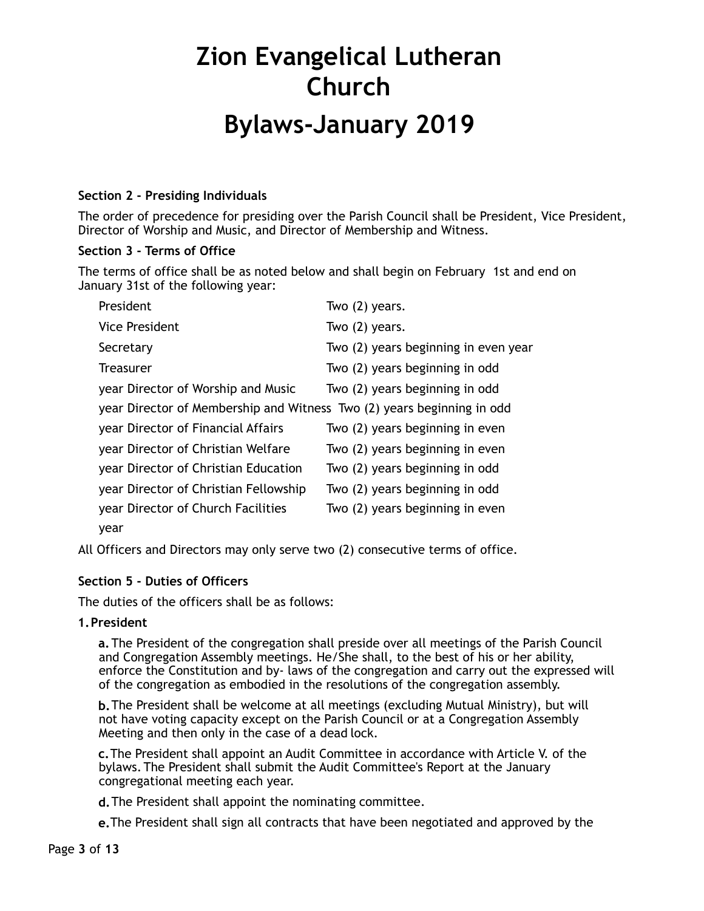# **Bylaws-January 2019**

# **Section 2 - Presiding Individuals**

The order of precedence for presiding over the Parish Council shall be President, Vice President, Director of Worship and Music, and Director of Membership and Witness.

# **Section 3 - Terms of Office**

The terms of office shall be as noted below and shall begin on February 1st and end on January 31st of the following year:

| President                                                              | Two $(2)$ years.                     |
|------------------------------------------------------------------------|--------------------------------------|
| <b>Vice President</b>                                                  | Two $(2)$ years.                     |
| Secretary                                                              | Two (2) years beginning in even year |
| <b>Treasurer</b>                                                       | Two (2) years beginning in odd       |
| year Director of Worship and Music                                     | Two (2) years beginning in odd       |
| year Director of Membership and Witness Two (2) years beginning in odd |                                      |
| year Director of Financial Affairs                                     | Two (2) years beginning in even      |
| year Director of Christian Welfare                                     | Two (2) years beginning in even      |
| year Director of Christian Education                                   | Two (2) years beginning in odd       |
| year Director of Christian Fellowship                                  | Two (2) years beginning in odd       |
| year Director of Church Facilities                                     | Two (2) years beginning in even      |
| year                                                                   |                                      |

All Officers and Directors may only serve two (2) consecutive terms of office.

# **Section 5 - Duties of Officers**

The duties of the officers shall be as follows:

# **1.President**

**a.**The President of the congregation shall preside over all meetings of the Parish Council and Congregation Assembly meetings. He/She shall, to the best of his or her ability, enforce the Constitution and by- laws of the congregation and carry out the expressed will of the congregation as embodied in the resolutions of the congregation assembly.

**b.**The President shall be welcome at all meetings (excluding Mutual Ministry), but will not have voting capacity except on the Parish Council or at a Congregation Assembly Meeting and then only in the case of a dead lock.

**c.**The President shall appoint an Audit Committee in accordance with Article V. of the bylaws. The President shall submit the Audit Committee's Report at the January congregational meeting each year.

**d.**The President shall appoint the nominating committee.

**e.**The President shall sign all contracts that have been negotiated and approved by the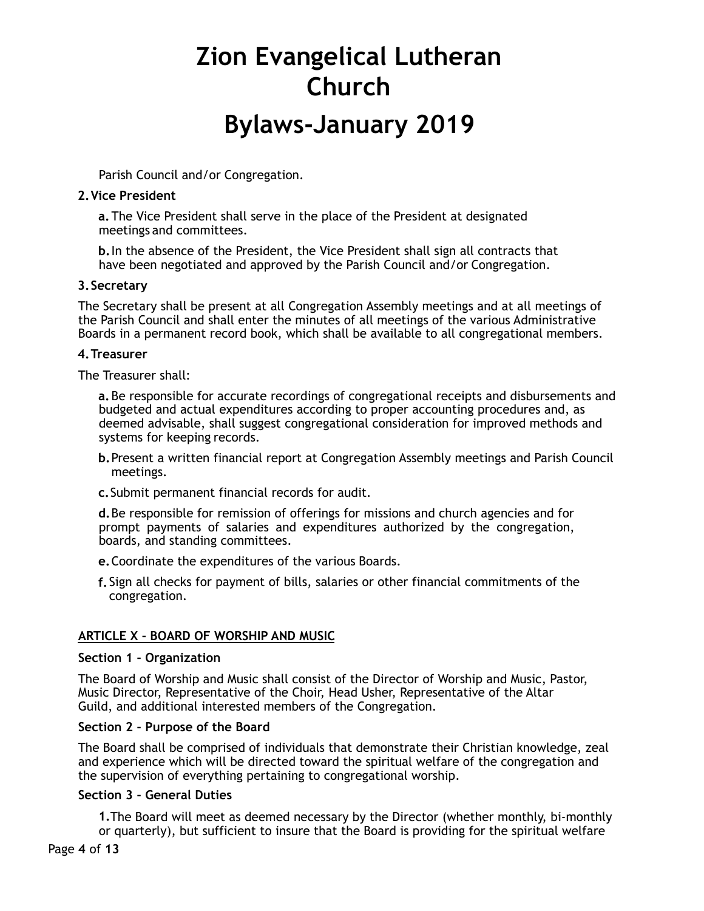Parish Council and/or Congregation.

### **2.Vice President**

**a.**The Vice President shall serve in the place of the President at designated meetings and committees.

**b.**In the absence of the President, the Vice President shall sign all contracts that have been negotiated and approved by the Parish Council and/or Congregation.

### **3.Secretary**

The Secretary shall be present at all Congregation Assembly meetings and at all meetings of the Parish Council and shall enter the minutes of all meetings of the various Administrative Boards in a permanent record book, which shall be available to all congregational members.

### **4.Treasurer**

The Treasurer shall:

**a.**Be responsible for accurate recordings of congregational receipts and disbursements and budgeted and actual expenditures according to proper accounting procedures and, as deemed advisable, shall suggest congregational consideration for improved methods and systems for keeping records.

- **b.**Present a written financial report at Congregation Assembly meetings and Parish Council meetings.
- **c.**Submit permanent financial records for audit.

**d.**Be responsible for remission of offerings for missions and church agencies and for prompt payments of salaries and expenditures authorized by the congregation, boards, and standing committees.

- **e.**Coordinate the expenditures of the various Boards.
- **f.** Sign all checks for payment of bills, salaries or other financial commitments of the congregation.

# **ARTICLE X - BOARD OF WORSHIP AND MUSIC**

### **Section 1 - Organization**

The Board of Worship and Music shall consist of the Director of Worship and Music, Pastor, Music Director, Representative of the Choir, Head Usher, Representative of the Altar Guild, and additional interested members of the Congregation.

# **Section 2 - Purpose of the Board**

The Board shall be comprised of individuals that demonstrate their Christian knowledge, zeal and experience which will be directed toward the spiritual welfare of the congregation and the supervision of everything pertaining to congregational worship.

### **Section 3 - General Duties**

**1.**The Board will meet as deemed necessary by the Director (whether monthly, bi-monthly or quarterly), but sufficient to insure that the Board is providing for the spiritual welfare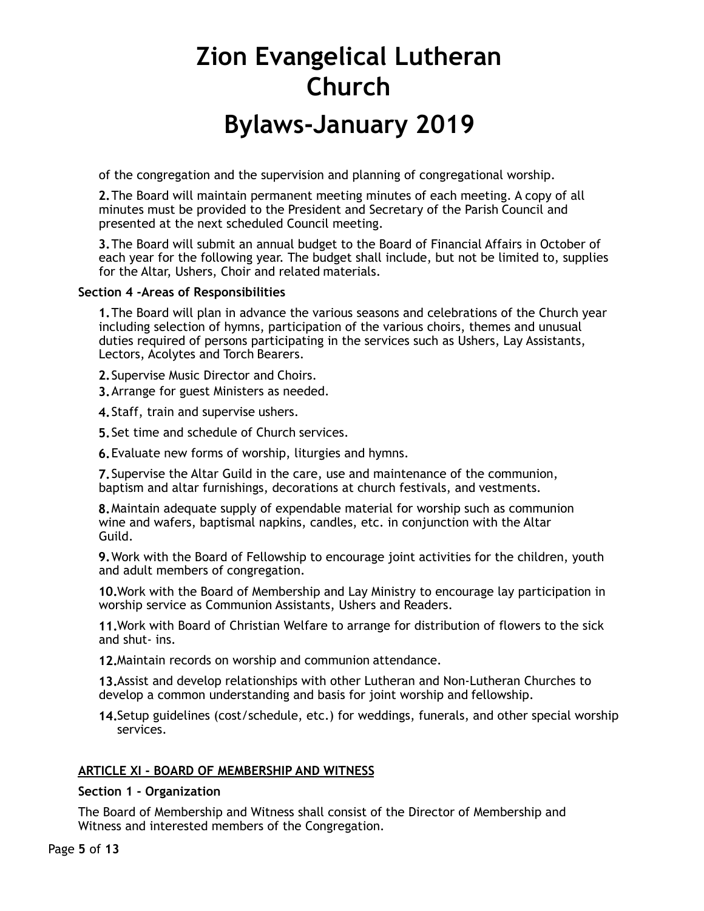of the congregation and the supervision and planning of congregational worship.

**2.**The Board will maintain permanent meeting minutes of each meeting. A copy of all minutes must be provided to the President and Secretary of the Parish Council and presented at the next scheduled Council meeting.

**3.**The Board will submit an annual budget to the Board of Financial Affairs in October of each year for the following year. The budget shall include, but not be limited to, supplies for the Altar, Ushers, Choir and related materials.

### **Section 4 -Areas of Responsibilities**

**1.**The Board will plan in advance the various seasons and celebrations of the Church year including selection of hymns, participation of the various choirs, themes and unusual duties required of persons participating in the services such as Ushers, Lay Assistants, Lectors, Acolytes and Torch Bearers.

**2.**Supervise Music Director and Choirs.

**3.**Arrange for guest Ministers as needed.

**4.**Staff, train and supervise ushers.

**5.**Set time and schedule of Church services.

**6.**Evaluate new forms of worship, liturgies and hymns.

**7.**Supervise the Altar Guild in the care, use and maintenance of the communion, baptism and altar furnishings, decorations at church festivals, and vestments.

**8.**Maintain adequate supply of expendable material for worship such as communion wine and wafers, baptismal napkins, candles, etc. in conjunction with the Altar Guild.

**9.**Work with the Board of Fellowship to encourage joint activities for the children, youth and adult members of congregation.

**10.**Work with the Board of Membership and Lay Ministry to encourage lay participation in worship service as Communion Assistants, Ushers and Readers.

**11.**Work with Board of Christian Welfare to arrange for distribution of flowers to the sick and shut- ins.

**12.**Maintain records on worship and communion attendance.

**13.**Assist and develop relationships with other Lutheran and Non-Lutheran Churches to develop a common understanding and basis for joint worship and fellowship.

**14.**Setup guidelines (cost/schedule, etc.) for weddings, funerals, and other special worship services.

# **ARTICLE XI - BOARD OF MEMBERSHIP AND WITNESS**

### **Section 1 - Organization**

The Board of Membership and Witness shall consist of the Director of Membership and Witness and interested members of the Congregation.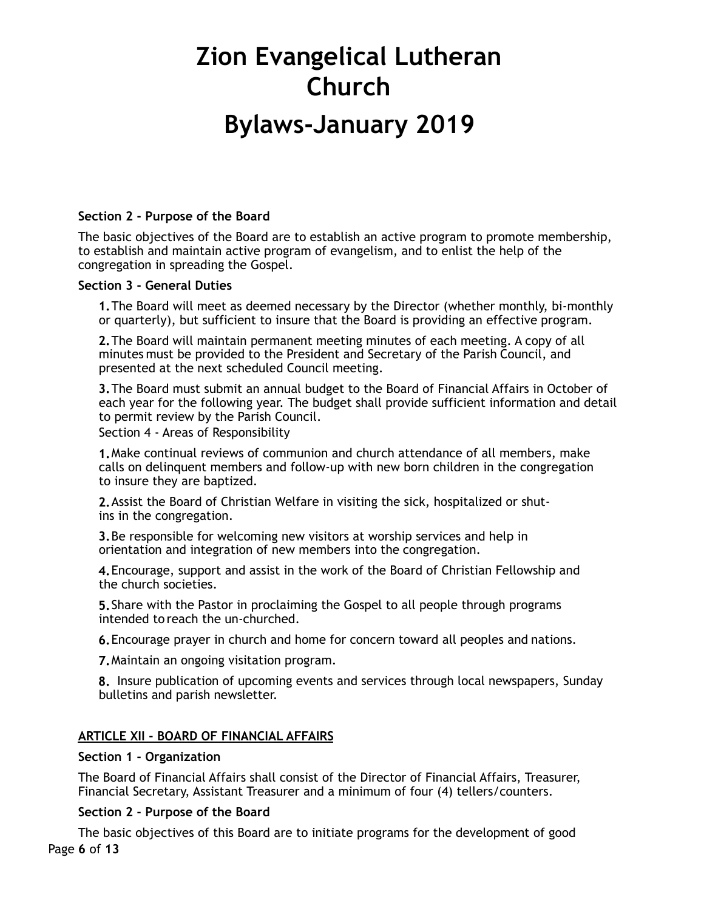# **Bylaws-January 2019**

### **Section 2 - Purpose of the Board**

The basic objectives of the Board are to establish an active program to promote membership, to establish and maintain active program of evangelism, and to enlist the help of the congregation in spreading the Gospel.

### **Section 3 - General Duties**

**1.**The Board will meet as deemed necessary by the Director (whether monthly, bi-monthly or quarterly), but sufficient to insure that the Board is providing an effective program.

**2.**The Board will maintain permanent meeting minutes of each meeting. A copy of all minutes must be provided to the President and Secretary of the Parish Council, and presented at the next scheduled Council meeting.

**3.**The Board must submit an annual budget to the Board of Financial Affairs in October of each year for the following year. The budget shall provide sufficient information and detail to permit review by the Parish Council.

Section 4 - Areas of Responsibility

**1.**Make continual reviews of communion and church attendance of all members, make calls on delinquent members and follow-up with new born children in the congregation to insure they are baptized.

**2.**Assist the Board of Christian Welfare in visiting the sick, hospitalized or shutins in the congregation.

**3.**Be responsible for welcoming new visitors at worship services and help in orientation and integration of new members into the congregation.

**4.**Encourage, support and assist in the work of the Board of Christian Fellowship and the church societies.

**5.**Share with the Pastor in proclaiming the Gospel to all people through programs intended to reach the un-churched.

**6.**Encourage prayer in church and home for concern toward all peoples and nations.

**7.**Maintain an ongoing visitation program.

**8.** Insure publication of upcoming events and services through local newspapers, Sunday bulletins and parish newsletter.

# **ARTICLE XII - BOARD OF FINANCIAL AFFAIRS**

### **Section 1 - Organization**

The Board of Financial Affairs shall consist of the Director of Financial Affairs, Treasurer, Financial Secretary, Assistant Treasurer and a minimum of four (4) tellers/counters.

### **Section 2 - Purpose of the Board**

The basic objectives of this Board are to initiate programs for the development of good Page **6** of **13**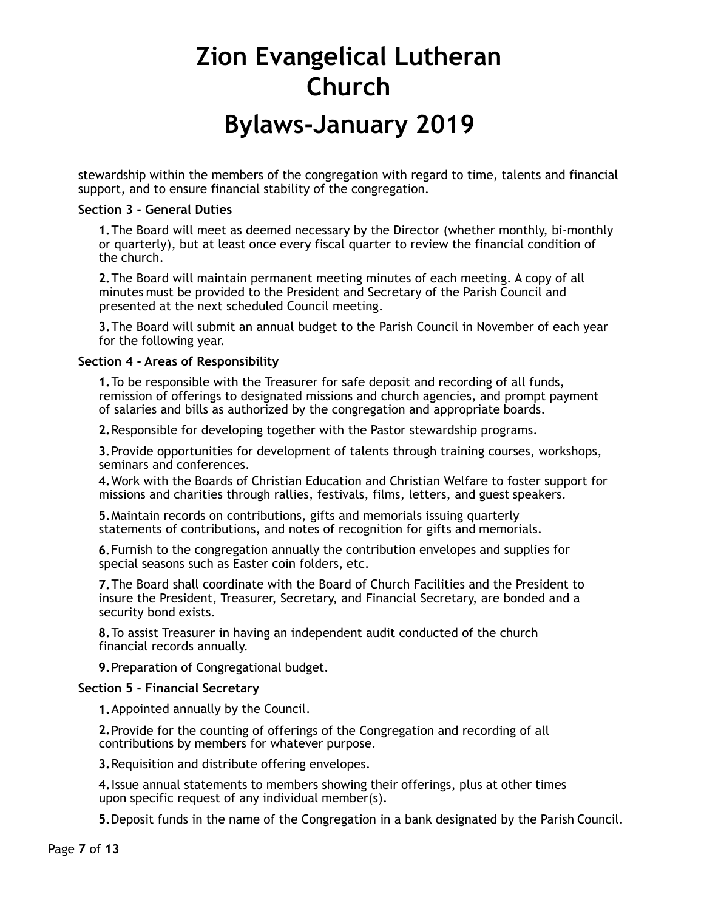# **Bylaws-January 2019**

stewardship within the members of the congregation with regard to time, talents and financial support, and to ensure financial stability of the congregation.

### **Section 3 - General Duties**

**1.**The Board will meet as deemed necessary by the Director (whether monthly, bi-monthly or quarterly), but at least once every fiscal quarter to review the financial condition of the church.

**2.**The Board will maintain permanent meeting minutes of each meeting. A copy of all minutes must be provided to the President and Secretary of the Parish Council and presented at the next scheduled Council meeting.

**3.**The Board will submit an annual budget to the Parish Council in November of each year for the following year.

### **Section 4 - Areas of Responsibility**

**1.**To be responsible with the Treasurer for safe deposit and recording of all funds, remission of offerings to designated missions and church agencies, and prompt payment of salaries and bills as authorized by the congregation and appropriate boards.

**2.**Responsible for developing together with the Pastor stewardship programs.

**3.**Provide opportunities for development of talents through training courses, workshops, seminars and conferences.

**4.**Work with the Boards of Christian Education and Christian Welfare to foster support for missions and charities through rallies, festivals, films, letters, and guest speakers.

**5.**Maintain records on contributions, gifts and memorials issuing quarterly statements of contributions, and notes of recognition for gifts and memorials.

**6.**Furnish to the congregation annually the contribution envelopes and supplies for special seasons such as Easter coin folders, etc.

**7.**The Board shall coordinate with the Board of Church Facilities and the President to insure the President, Treasurer, Secretary, and Financial Secretary, are bonded and a security bond exists.

**8.**To assist Treasurer in having an independent audit conducted of the church financial records annually.

**9.**Preparation of Congregational budget.

### **Section 5 - Financial Secretary**

**1.**Appointed annually by the Council.

**2.**Provide for the counting of offerings of the Congregation and recording of all contributions by members for whatever purpose.

**3.**Requisition and distribute offering envelopes.

**4.**Issue annual statements to members showing their offerings, plus at other times upon specific request of any individual member(s).

**5.**Deposit funds in the name of the Congregation in a bank designated by the Parish Council.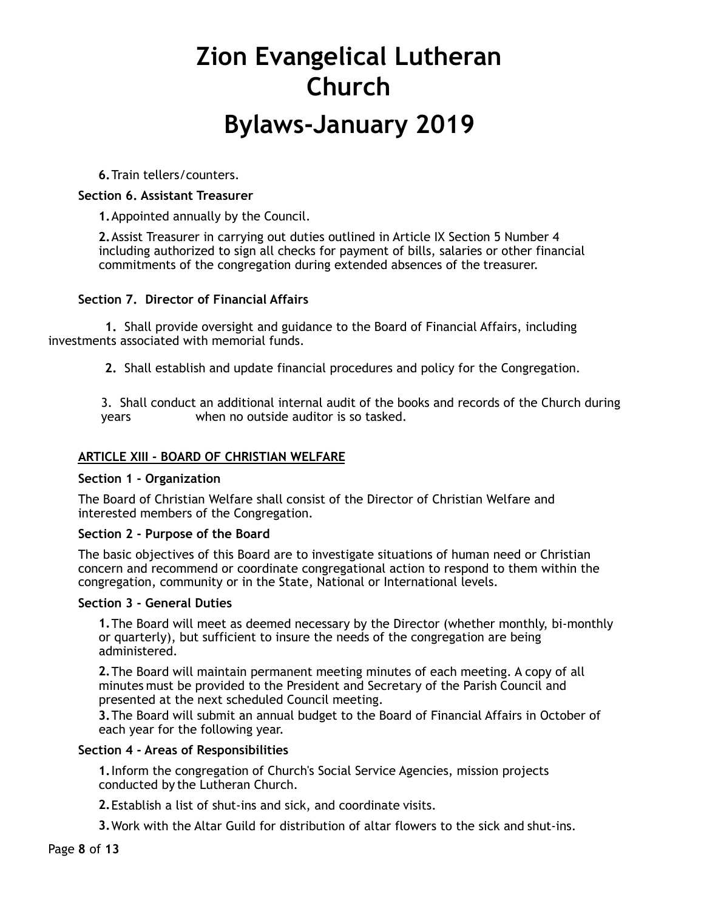# **Bylaws-January 2019**

**6.**Train tellers/counters.

# **Section 6. Assistant Treasurer**

**1.**Appointed annually by the Council.

**2.**Assist Treasurer in carrying out duties outlined in Article IX Section 5 Number 4 including authorized to sign all checks for payment of bills, salaries or other financial commitments of the congregation during extended absences of the treasurer.

# **Section 7. Director of Financial Affairs**

 **1.** Shall provide oversight and guidance to the Board of Financial Affairs, including investments associated with memorial funds.

 **2.** Shall establish and update financial procedures and policy for the Congregation.

3. Shall conduct an additional internal audit of the books and records of the Church during years when no outside auditor is so tasked.

# **ARTICLE XIII - BOARD OF CHRISTIAN WELFARE**

# **Section 1 - Organization**

The Board of Christian Welfare shall consist of the Director of Christian Welfare and interested members of the Congregation.

# **Section 2 - Purpose of the Board**

The basic objectives of this Board are to investigate situations of human need or Christian concern and recommend or coordinate congregational action to respond to them within the congregation, community or in the State, National or International levels.

# **Section 3 - General Duties**

**1.**The Board will meet as deemed necessary by the Director (whether monthly, bi-monthly or quarterly), but sufficient to insure the needs of the congregation are being administered.

**2.**The Board will maintain permanent meeting minutes of each meeting. A copy of all minutes must be provided to the President and Secretary of the Parish Council and presented at the next scheduled Council meeting.

**3.**The Board will submit an annual budget to the Board of Financial Affairs in October of each year for the following year.

# **Section 4 - Areas of Responsibilities**

**1.**Inform the congregation of Church's Social Service Agencies, mission projects conducted by the Lutheran Church.

**2.**Establish a list of shut-ins and sick, and coordinate visits.

**3.**Work with the Altar Guild for distribution of altar flowers to the sick and shut-ins.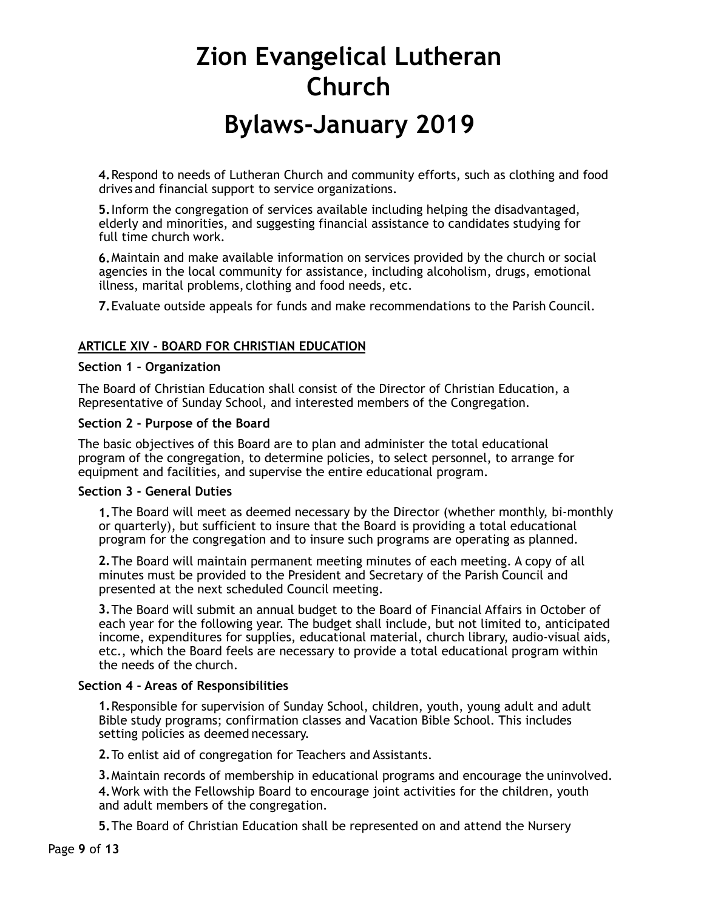**4.**Respond to needs of Lutheran Church and community efforts, such as clothing and food drives and financial support to service organizations.

**5.**Inform the congregation of services available including helping the disadvantaged, elderly and minorities, and suggesting financial assistance to candidates studying for full time church work.

**6.**Maintain and make available information on services provided by the church or social agencies in the local community for assistance, including alcoholism, drugs, emotional illness, marital problems, clothing and food needs, etc.

**7.**Evaluate outside appeals for funds and make recommendations to the Parish Council.

# **ARTICLE XIV - BOARD FOR CHRISTIAN EDUCATION**

#### **Section 1 - Organization**

The Board of Christian Education shall consist of the Director of Christian Education, a Representative of Sunday School, and interested members of the Congregation.

#### **Section 2 - Purpose of the Board**

The basic objectives of this Board are to plan and administer the total educational program of the congregation, to determine policies, to select personnel, to arrange for equipment and facilities, and supervise the entire educational program.

#### **Section 3 - General Duties**

**1.**The Board will meet as deemed necessary by the Director (whether monthly, bi-monthly or quarterly), but sufficient to insure that the Board is providing a total educational program for the congregation and to insure such programs are operating as planned.

**2.**The Board will maintain permanent meeting minutes of each meeting. A copy of all minutes must be provided to the President and Secretary of the Parish Council and presented at the next scheduled Council meeting.

**3.**The Board will submit an annual budget to the Board of Financial Affairs in October of each year for the following year. The budget shall include, but not limited to, anticipated income, expenditures for supplies, educational material, church library, audio-visual aids, etc., which the Board feels are necessary to provide a total educational program within the needs of the church.

### **Section 4 - Areas of Responsibilities**

**1.**Responsible for supervision of Sunday School, children, youth, young adult and adult Bible study programs; confirmation classes and Vacation Bible School. This includes setting policies as deemed necessary.

**2.**To enlist aid of congregation for Teachers and Assistants.

**3.**Maintain records of membership in educational programs and encourage the uninvolved. **4.**Work with the Fellowship Board to encourage joint activities for the children, youth and adult members of the congregation.

**5.**The Board of Christian Education shall be represented on and attend the Nursery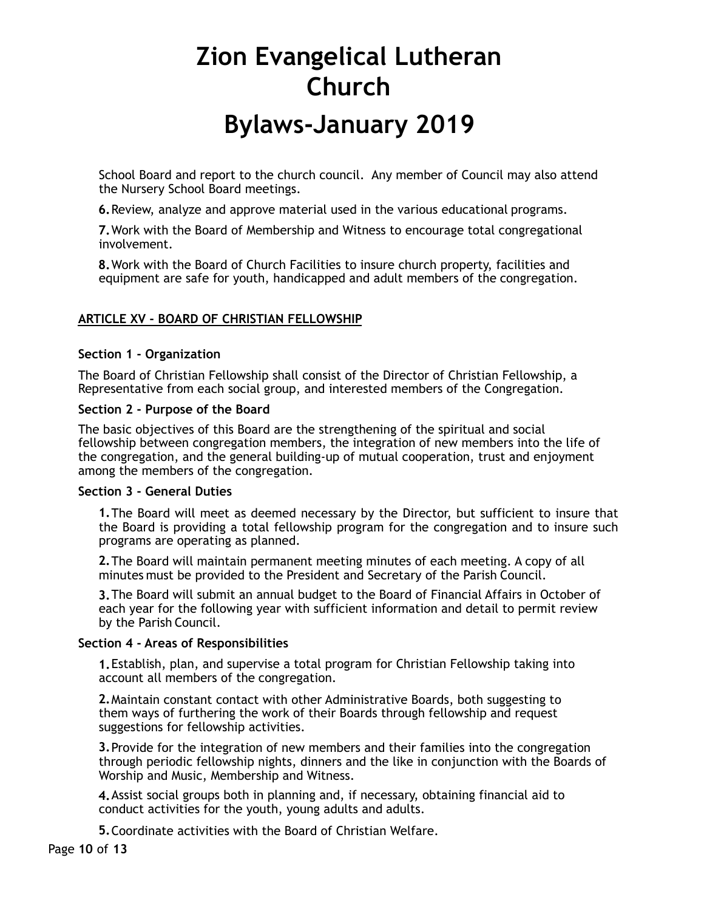School Board and report to the church council. Any member of Council may also attend the Nursery School Board meetings.

**6.**Review, analyze and approve material used in the various educational programs.

**7.**Work with the Board of Membership and Witness to encourage total congregational involvement.

**8.**Work with the Board of Church Facilities to insure church property, facilities and equipment are safe for youth, handicapped and adult members of the congregation.

# **ARTICLE XV - BOARD OF CHRISTIAN FELLOWSHIP**

# **Section 1 - Organization**

The Board of Christian Fellowship shall consist of the Director of Christian Fellowship, a Representative from each social group, and interested members of the Congregation.

### **Section 2 - Purpose of the Board**

The basic objectives of this Board are the strengthening of the spiritual and social fellowship between congregation members, the integration of new members into the life of the congregation, and the general building-up of mutual cooperation, trust and enjoyment among the members of the congregation.

### **Section 3 - General Duties**

**1.**The Board will meet as deemed necessary by the Director, but sufficient to insure that the Board is providing a total fellowship program for the congregation and to insure such programs are operating as planned.

**2.**The Board will maintain permanent meeting minutes of each meeting. A copy of all minutes must be provided to the President and Secretary of the Parish Council.

**3.**The Board will submit an annual budget to the Board of Financial Affairs in October of each year for the following year with sufficient information and detail to permit review by the Parish Council.

### **Section 4 - Areas of Responsibilities**

**1.**Establish, plan, and supervise a total program for Christian Fellowship taking into account all members of the congregation.

**2.**Maintain constant contact with other Administrative Boards, both suggesting to them ways of furthering the work of their Boards through fellowship and request suggestions for fellowship activities.

**3.**Provide for the integration of new members and their families into the congregation through periodic fellowship nights, dinners and the like in conjunction with the Boards of Worship and Music, Membership and Witness.

**4.**Assist social groups both in planning and, if necessary, obtaining financial aid to conduct activities for the youth, young adults and adults.

**5.**Coordinate activities with the Board of Christian Welfare.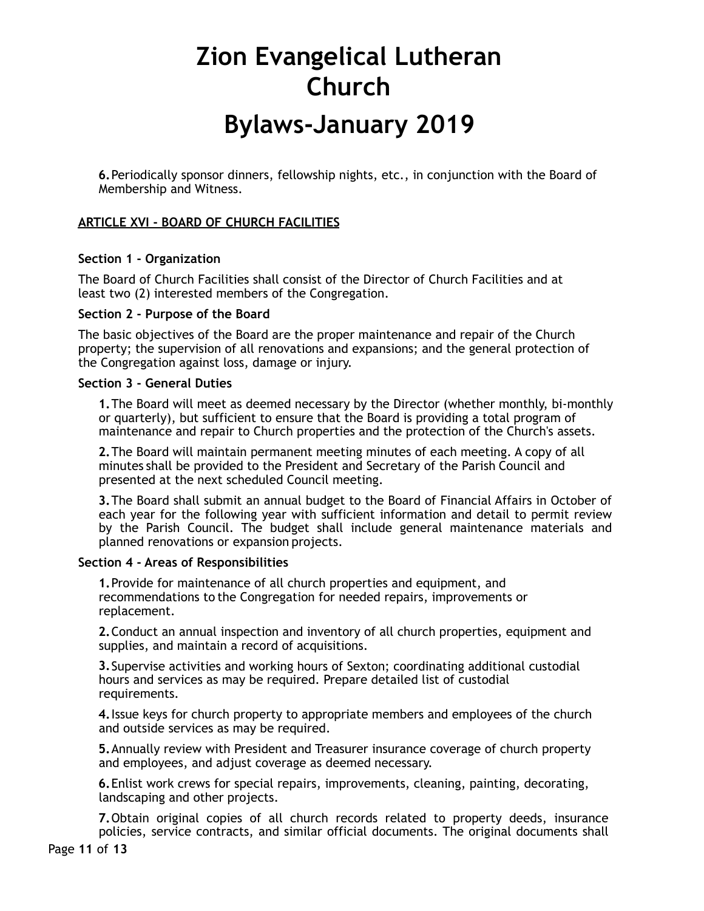# **Bylaws-January 2019**

**6.**Periodically sponsor dinners, fellowship nights, etc., in conjunction with the Board of Membership and Witness.

# **ARTICLE XVI - BOARD OF CHURCH FACILITIES**

### **Section 1 - Organization**

The Board of Church Facilities shall consist of the Director of Church Facilities and at least two (2) interested members of the Congregation.

### **Section 2 - Purpose of the Board**

The basic objectives of the Board are the proper maintenance and repair of the Church property; the supervision of all renovations and expansions; and the general protection of the Congregation against loss, damage or injury.

### **Section 3 - General Duties**

**1.**The Board will meet as deemed necessary by the Director (whether monthly, bi-monthly or quarterly), but sufficient to ensure that the Board is providing a total program of maintenance and repair to Church properties and the protection of the Church's assets.

**2.**The Board will maintain permanent meeting minutes of each meeting. A copy of all minutes shall be provided to the President and Secretary of the Parish Council and presented at the next scheduled Council meeting.

**3.**The Board shall submit an annual budget to the Board of Financial Affairs in October of each year for the following year with sufficient information and detail to permit review by the Parish Council. The budget shall include general maintenance materials and planned renovations or expansion projects.

### **Section 4 - Areas of Responsibilities**

**1.**Provide for maintenance of all church properties and equipment, and recommendations to the Congregation for needed repairs, improvements or replacement.

**2.**Conduct an annual inspection and inventory of all church properties, equipment and supplies, and maintain a record of acquisitions.

**3.**Supervise activities and working hours of Sexton; coordinating additional custodial hours and services as may be required. Prepare detailed list of custodial requirements.

**4.**Issue keys for church property to appropriate members and employees of the church and outside services as may be required.

**5.**Annually review with President and Treasurer insurance coverage of church property and employees, and adjust coverage as deemed necessary.

**6.**Enlist work crews for special repairs, improvements, cleaning, painting, decorating, landscaping and other projects.

**7.**Obtain original copies of all church records related to property deeds, insurance policies, service contracts, and similar official documents. The original documents shall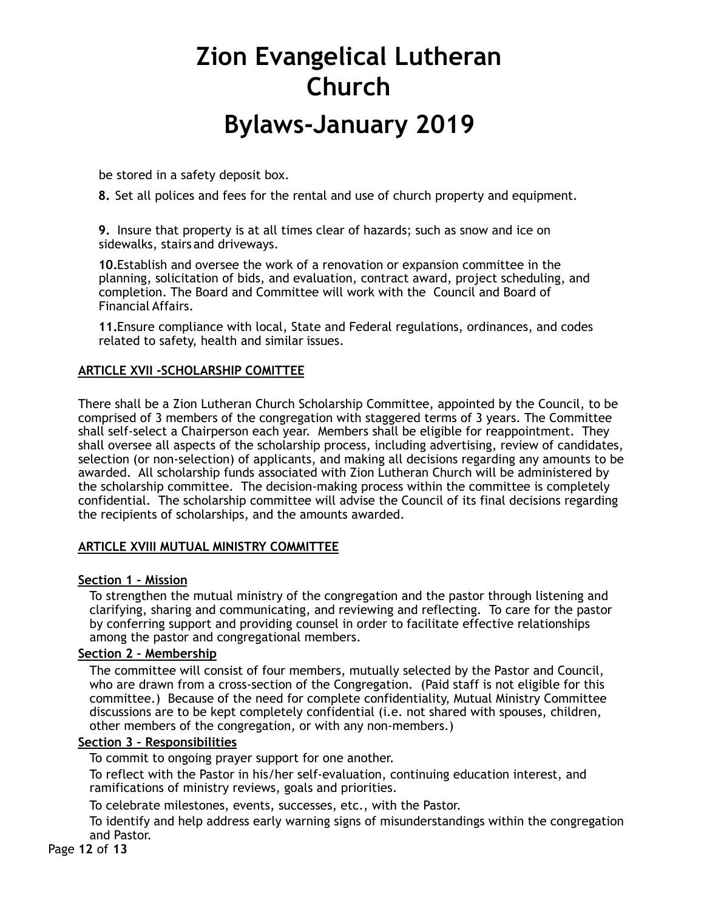be stored in a safety deposit box.

**8.** Set all polices and fees for the rental and use of church property and equipment.

**9.** Insure that property is at all times clear of hazards; such as snow and ice on sidewalks, stairs and driveways.

**10.**Establish and oversee the work of a renovation or expansion committee in the planning, solicitation of bids, and evaluation, contract award, project scheduling, and completion. The Board and Committee will work with the Council and Board of Financial Affairs.

**11.**Ensure compliance with local, State and Federal regulations, ordinances, and codes related to safety, health and similar issues.

### **ARTICLE XVII -SCHOLARSHIP COMITTEE**

There shall be a Zion Lutheran Church Scholarship Committee, appointed by the Council, to be comprised of 3 members of the congregation with staggered terms of 3 years. The Committee shall self-select a Chairperson each year. Members shall be eligible for reappointment. They shall oversee all aspects of the scholarship process, including advertising, review of candidates, selection (or non-selection) of applicants, and making all decisions regarding any amounts to be awarded. All scholarship funds associated with Zion Lutheran Church will be administered by the scholarship committee. The decision-making process within the committee is completely confidential. The scholarship committee will advise the Council of its final decisions regarding the recipients of scholarships, and the amounts awarded.

# **ARTICLE XVIII MUTUAL MINISTRY COMMITTEE**

### **Section 1 – Mission**

To strengthen the mutual ministry of the congregation and the pastor through listening and clarifying, sharing and communicating, and reviewing and reflecting. To care for the pastor by conferring support and providing counsel in order to facilitate effective relationships among the pastor and congregational members.

### **Section 2 – Membership**

The committee will consist of four members, mutually selected by the Pastor and Council, who are drawn from a cross-section of the Congregation. (Paid staff is not eligible for this committee.) Because of the need for complete confidentiality, Mutual Ministry Committee discussions are to be kept completely confidential (i.e. not shared with spouses, children, other members of the congregation, or with any non-members.)

### **Section 3 – Responsibilities**

To commit to ongoing prayer support for one another.

To reflect with the Pastor in his/her self-evaluation, continuing education interest, and ramifications of ministry reviews, goals and priorities.

To celebrate milestones, events, successes, etc., with the Pastor.

To identify and help address early warning signs of misunderstandings within the congregation and Pastor.

Page **12** of **13**